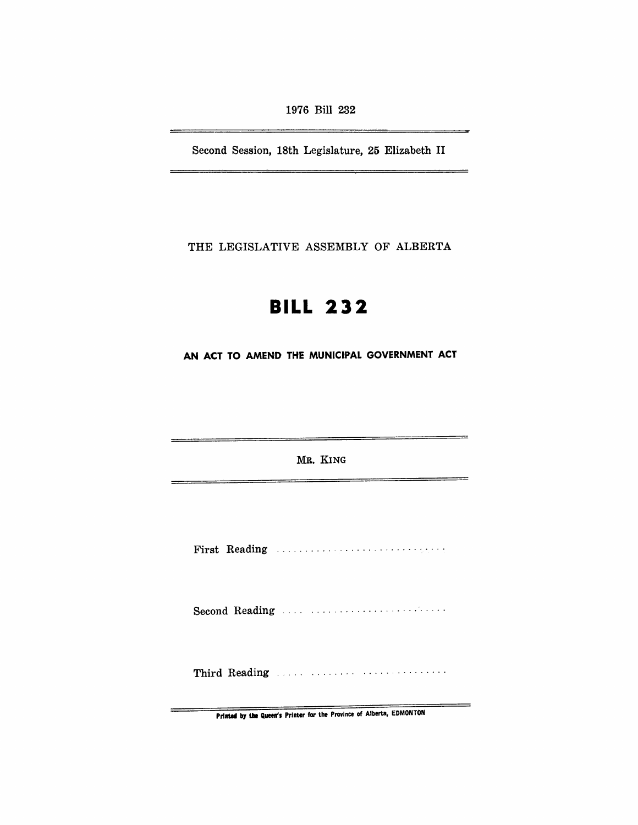1976 Bill 232

Second Session, 18th Legislature, 25 Elizabeth II

THE LEGISLATIVE ASSEMBLY OF ALBERTA

# **BILL 232**

AN ACT TO AMEND THE MUNICIPAL GOVERNMENT ACT

MR. KING

First Reading ............................. .

Second Reading ........................

Third Reading ..... ........ . ............. .

Printed by the Queen's Printer for the Province of Alberta, EDMONTON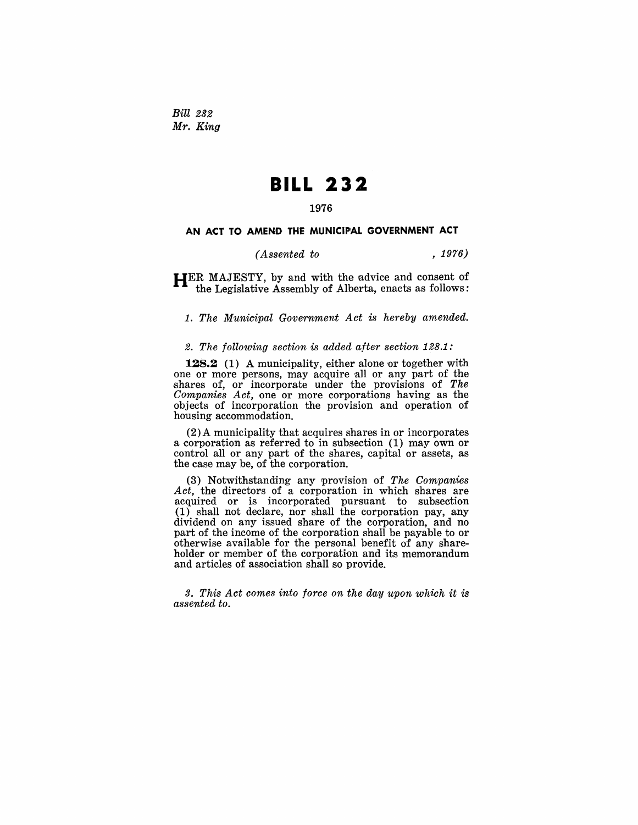Bill *232*  Mr. *King* 

## **BILL 232**

#### 1976

#### AN ACT TO AMEND THE MUNICIPAL GOVERNMENT ACT

#### *(Assented to* , 1976)

HER MAJESTY, by and with the advice and consent of the Legislative Assembly of Alberta, enacts as follows:

*1. The Municipal Government Act is hereby amended.* 

#### *2. The following section* is *added after section* 128.1:

**128.2** (1) A municipality, either alone or together with one or more persons, may acquire all or any part of the shares of, or incorporate under the provisions of The Companies Act, one or more corporations having as the objects of incorporation the provision and operation of housing accommodation.

 $(2)$  A municipality that acquires shares in or incorporates a corporation as referred to in subsection (1) may own or control all or any part of the shares, capital or assets, as the case may be, of the corporation.

(3) Notwithstanding any provision of *The Companies Act,* the directors of a corporation in which shares are acquired or is incorporated pursuant to subsection (1) shall not declare, nor shall the corporation pay, any dividend on any issued share of the corporation, and no part of the income of the corporation shall be payable to or otherwise available for the personal benefit of any shareholder or member of the corporation and its memorandum and articles of association shall so provide.

*3. This Act comes into force on the day upon which it is assented to.*